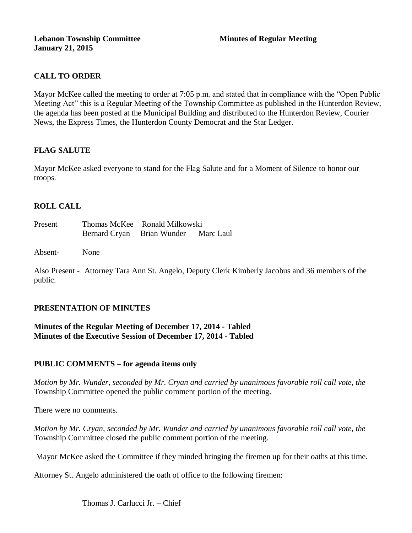## **CALL TO ORDER**

Mayor McKee called the meeting to order at 7:05 p.m. and stated that in compliance with the "Open Public Meeting Act" this is a Regular Meeting of the Township Committee as published in the Hunterdon Review, the agenda has been posted at the Municipal Building and distributed to the Hunterdon Review, Courier News, the Express Times, the Hunterdon County Democrat and the Star Ledger.

## **FLAG SALUTE**

Mayor McKee asked everyone to stand for the Flag Salute and for a Moment of Silence to honor our troops.

## **ROLL CALL**

| Present |                                      | Thomas McKee Ronald Milkowski |  |
|---------|--------------------------------------|-------------------------------|--|
|         | Bernard Cryan Brian Wunder Marc Laul |                               |  |

Absent- None

Also Present - Attorney Tara Ann St. Angelo, Deputy Clerk Kimberly Jacobus and 36 members of the public.

### **PRESENTATION OF MINUTES**

### **Minutes of the Regular Meeting of December 17, 2014 - Tabled Minutes of the Executive Session of December 17, 2014 - Tabled**

### **PUBLIC COMMENTS – for agenda items only**

*Motion by Mr. Wunder, seconded by Mr. Cryan and carried by unanimous favorable roll call vote, the*  Township Committee opened the public comment portion of the meeting.

There were no comments.

*Motion by Mr. Cryan, seconded by Mr. Wunder and carried by unanimous favorable roll call vote, the*  Township Committee closed the public comment portion of the meeting.

Mayor McKee asked the Committee if they minded bringing the firemen up for their oaths at this time.

Attorney St. Angelo administered the oath of office to the following firemen: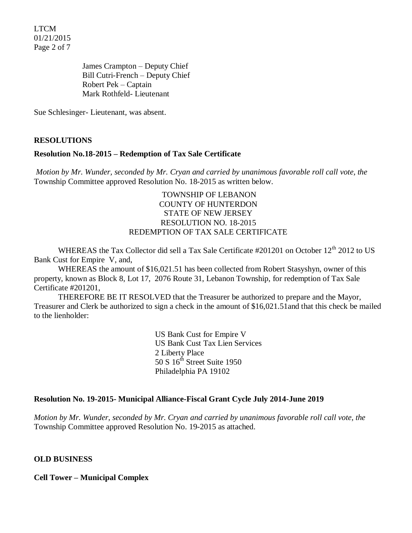LTCM 01/21/2015 Page 2 of 7

> James Crampton – Deputy Chief Bill Cutri-French – Deputy Chief Robert Pek – Captain Mark Rothfeld- Lieutenant

Sue Schlesinger- Lieutenant, was absent.

#### **RESOLUTIONS**

#### **Resolution No.18-2015 – Redemption of Tax Sale Certificate**

*Motion by Mr. Wunder, seconded by Mr. Cryan and carried by unanimous favorable roll call vote, the* Township Committee approved Resolution No. 18-2015 as written below.

#### TOWNSHIP OF LEBANON COUNTY OF HUNTERDON STATE OF NEW JERSEY RESOLUTION NO. 18-2015 REDEMPTION OF TAX SALE CERTIFICATE

WHEREAS the Tax Collector did sell a Tax Sale Certificate #201201 on October 12<sup>th</sup> 2012 to US Bank Cust for Empire V, and,

WHEREAS the amount of \$16,021.51 has been collected from Robert Stasyshyn, owner of this property, known as Block 8, Lot 17, 2076 Route 31, Lebanon Township, for redemption of Tax Sale Certificate #201201,

THEREFORE BE IT RESOLVED that the Treasurer be authorized to prepare and the Mayor, Treasurer and Clerk be authorized to sign a check in the amount of \$16,021.51and that this check be mailed to the lienholder:

> US Bank Cust for Empire V US Bank Cust Tax Lien Services 2 Liberty Place 50 S  $16^{th}$  Street Suite 1950 Philadelphia PA 19102

#### **Resolution No. 19-2015- Municipal Alliance-Fiscal Grant Cycle July 2014-June 2019**

*Motion by Mr. Wunder, seconded by Mr. Cryan and carried by unanimous favorable roll call vote, the* Township Committee approved Resolution No. 19-2015 as attached.

#### **OLD BUSINESS**

**Cell Tower – Municipal Complex**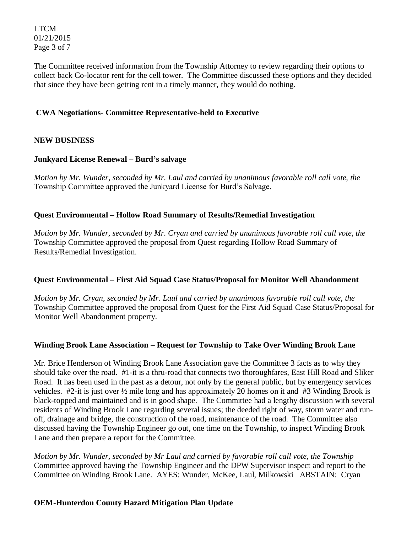LTCM 01/21/2015 Page 3 of 7

The Committee received information from the Township Attorney to review regarding their options to collect back Co-locator rent for the cell tower. The Committee discussed these options and they decided that since they have been getting rent in a timely manner, they would do nothing.

## **CWA Negotiations- Committee Representative-held to Executive**

### **NEW BUSINESS**

### **Junkyard License Renewal – Burd's salvage**

*Motion by Mr. Wunder, seconded by Mr. Laul and carried by unanimous favorable roll call vote, the* Township Committee approved the Junkyard License for Burd's Salvage.

### **Quest Environmental – Hollow Road Summary of Results/Remedial Investigation**

*Motion by Mr. Wunder, seconded by Mr. Cryan and carried by unanimous favorable roll call vote, the* Township Committee approved the proposal from Quest regarding Hollow Road Summary of Results/Remedial Investigation.

### **Quest Environmental – First Aid Squad Case Status/Proposal for Monitor Well Abandonment**

*Motion by Mr. Cryan, seconded by Mr. Laul and carried by unanimous favorable roll call vote, the* Township Committee approved the proposal from Quest for the First Aid Squad Case Status/Proposal for Monitor Well Abandonment property.

### **Winding Brook Lane Association – Request for Township to Take Over Winding Brook Lane**

Mr. Brice Henderson of Winding Brook Lane Association gave the Committee 3 facts as to why they should take over the road. #1-it is a thru-road that connects two thoroughfares, East Hill Road and Sliker Road. It has been used in the past as a detour, not only by the general public, but by emergency services vehicles. #2-it is just over ½ mile long and has approximately 20 homes on it and #3 Winding Brook is black-topped and maintained and is in good shape. The Committee had a lengthy discussion with several residents of Winding Brook Lane regarding several issues; the deeded right of way, storm water and runoff, drainage and bridge, the construction of the road, maintenance of the road. The Committee also discussed having the Township Engineer go out, one time on the Township, to inspect Winding Brook Lane and then prepare a report for the Committee.

*Motion by Mr. Wunder, seconded by Mr Laul and carried by favorable roll call vote, the Township*  Committee approved having the Township Engineer and the DPW Supervisor inspect and report to the Committee on Winding Brook Lane. AYES: Wunder, McKee, Laul, Milkowski ABSTAIN: Cryan

### **OEM-Hunterdon County Hazard Mitigation Plan Update**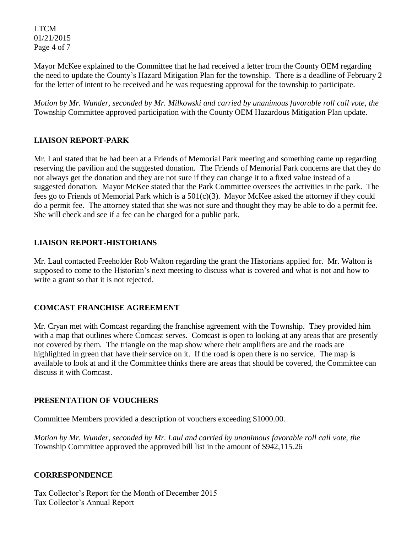LTCM 01/21/2015 Page 4 of 7

Mayor McKee explained to the Committee that he had received a letter from the County OEM regarding the need to update the County's Hazard Mitigation Plan for the township. There is a deadline of February 2 for the letter of intent to be received and he was requesting approval for the township to participate.

*Motion by Mr. Wunder, seconded by Mr. Milkowski and carried by unanimous favorable roll call vote, the* Township Committee approved participation with the County OEM Hazardous Mitigation Plan update.

# **LIAISON REPORT-PARK**

Mr. Laul stated that he had been at a Friends of Memorial Park meeting and something came up regarding reserving the pavilion and the suggested donation. The Friends of Memorial Park concerns are that they do not always get the donation and they are not sure if they can change it to a fixed value instead of a suggested donation. Mayor McKee stated that the Park Committee oversees the activities in the park. The fees go to Friends of Memorial Park which is a 501(c)(3). Mayor McKee asked the attorney if they could do a permit fee. The attorney stated that she was not sure and thought they may be able to do a permit fee. She will check and see if a fee can be charged for a public park.

## **LIAISON REPORT-HISTORIANS**

Mr. Laul contacted Freeholder Rob Walton regarding the grant the Historians applied for. Mr. Walton is supposed to come to the Historian's next meeting to discuss what is covered and what is not and how to write a grant so that it is not rejected.

# **COMCAST FRANCHISE AGREEMENT**

Mr. Cryan met with Comcast regarding the franchise agreement with the Township. They provided him with a map that outlines where Comcast serves. Comcast is open to looking at any areas that are presently not covered by them. The triangle on the map show where their amplifiers are and the roads are highlighted in green that have their service on it. If the road is open there is no service. The map is available to look at and if the Committee thinks there are areas that should be covered, the Committee can discuss it with Comcast.

### **PRESENTATION OF VOUCHERS**

Committee Members provided a description of vouchers exceeding \$1000.00.

*Motion by Mr. Wunder, seconded by Mr. Laul and carried by unanimous favorable roll call vote*, *the*  Township Committee approved the approved bill list in the amount of \$942,115.26

### **CORRESPONDENCE**

Tax Collector's Report for the Month of December 2015 Tax Collector's Annual Report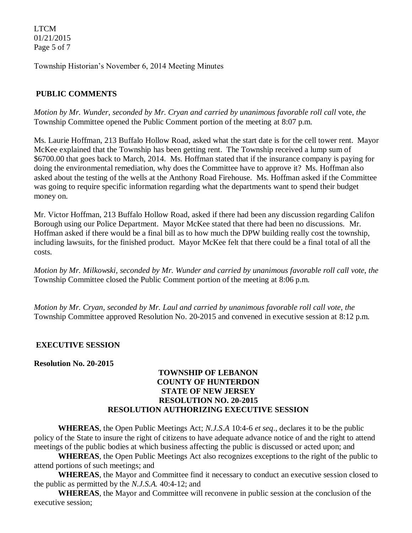LTCM 01/21/2015 Page 5 of 7

Township Historian's November 6, 2014 Meeting Minutes

#### **PUBLIC COMMENTS**

*Motion by Mr. Wunder, seconded by Mr. Cryan and carried by unanimous favorable roll call* vote, *the*  Township Committee opened the Public Comment portion of the meeting at 8:07 p.m.

Ms. Laurie Hoffman, 213 Buffalo Hollow Road, asked what the start date is for the cell tower rent. Mayor McKee explained that the Township has been getting rent. The Township received a lump sum of \$6700.00 that goes back to March, 2014. Ms. Hoffman stated that if the insurance company is paying for doing the environmental remediation, why does the Committee have to approve it? Ms. Hoffman also asked about the testing of the wells at the Anthony Road Firehouse. Ms. Hoffman asked if the Committee was going to require specific information regarding what the departments want to spend their budget money on.

Mr. Victor Hoffman, 213 Buffalo Hollow Road, asked if there had been any discussion regarding Califon Borough using our Police Department. Mayor McKee stated that there had been no discussions. Mr. Hoffman asked if there would be a final bill as to how much the DPW building really cost the township, including lawsuits, for the finished product. Mayor McKee felt that there could be a final total of all the costs.

*Motion by Mr. Milkowski, seconded by Mr. Wunder and carried by unanimous favorable roll call vote*, *the*  Township Committee closed the Public Comment portion of the meeting at 8:06 p.m.

*Motion by Mr. Cryan, seconded by Mr. Laul and carried by unanimous favorable roll call vote, the* Township Committee approved Resolution No. 20-2015 and convened in executive session at 8:12 p.m.

#### **EXECUTIVE SESSION**

**Resolution No. 20-2015**

#### **TOWNSHIP OF LEBANON COUNTY OF HUNTERDON STATE OF NEW JERSEY RESOLUTION NO. 20-2015 RESOLUTION AUTHORIZING EXECUTIVE SESSION**

**WHEREAS**, the Open Public Meetings Act; *N.J.S.A* 10:4-6 *et seq*., declares it to be the public policy of the State to insure the right of citizens to have adequate advance notice of and the right to attend meetings of the public bodies at which business affecting the public is discussed or acted upon; and

**WHEREAS**, the Open Public Meetings Act also recognizes exceptions to the right of the public to attend portions of such meetings; and

**WHEREAS**, the Mayor and Committee find it necessary to conduct an executive session closed to the public as permitted by the *N.J.S.A.* 40:4-12; and

**WHEREAS**, the Mayor and Committee will reconvene in public session at the conclusion of the executive session;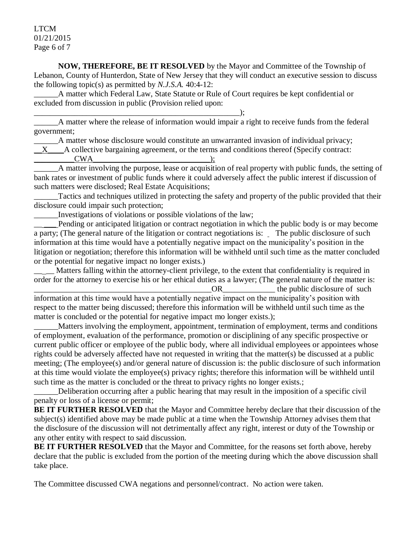LTCM 01/21/2015 Page 6 of 7

**NOW, THEREFORE, BE IT RESOLVED** by the Mayor and Committee of the Township of Lebanon, County of Hunterdon, State of New Jersey that they will conduct an executive session to discuss the following topic(s) as permitted by *N.J.S.A.* 40:4-12:

A matter which Federal Law, State Statute or Rule of Court requires be kept confidential or excluded from discussion in public (Provision relied upon:

\_\_\_\_\_\_\_\_\_\_\_\_\_\_\_\_\_\_\_\_\_\_\_\_\_\_\_\_\_\_\_\_\_\_\_\_\_\_\_\_\_\_\_\_\_\_\_\_\_\_\_); \_\_\_\_\_\_A matter where the release of information would impair a right to receive funds from the federal government;

\_\_\_\_\_\_A matter whose disclosure would constitute an unwarranted invasion of individual privacy;

 $X$  A collective bargaining agreement, or the terms and conditions thereof (Specify contract:

 $CWA$  );

\_\_\_\_\_\_A matter involving the purpose, lease or acquisition of real property with public funds, the setting of bank rates or investment of public funds where it could adversely affect the public interest if discussion of such matters were disclosed; Real Estate Acquisitions;

\_\_\_\_\_\_Tactics and techniques utilized in protecting the safety and property of the public provided that their disclosure could impair such protection;

\_\_\_\_\_\_Investigations of violations or possible violations of the law;

Pending or anticipated litigation or contract negotiation in which the public body is or may become a party; (The general nature of the litigation or contract negotiations is: The public disclosure of such information at this time would have a potentially negative impact on the municipality's position in the litigation or negotiation; therefore this information will be withheld until such time as the matter concluded or the potential for negative impact no longer exists.)

Matters falling within the attorney-client privilege, to the extent that confidentiality is required in order for the attorney to exercise his or her ethical duties as a lawyer; (The general nature of the matter is:

OR the public disclosure of such information at this time would have a potentially negative impact on the municipality's position with respect to the matter being discussed; therefore this information will be withheld until such time as the matter is concluded or the potential for negative impact mo longer exists.);

Matters involving the employment, appointment, termination of employment, terms and conditions of employment, evaluation of the performance, promotion or disciplining of any specific prospective or current public officer or employee of the public body, where all individual employees or appointees whose rights could be adversely affected have not requested in writing that the matter(s) be discussed at a public meeting; (The employee(s) and/or general nature of discussion is: the public disclosure of such information at this time would violate the employee(s) privacy rights; therefore this information will be withheld until such time as the matter is concluded or the threat to privacy rights no longer exists.;

\_\_\_\_\_\_Deliberation occurring after a public hearing that may result in the imposition of a specific civil penalty or loss of a license or permit;

**BE IT FURTHER RESOLVED** that the Mayor and Committee hereby declare that their discussion of the subject(s) identified above may be made public at a time when the Township Attorney advises them that the disclosure of the discussion will not detrimentally affect any right, interest or duty of the Township or any other entity with respect to said discussion.

**BE IT FURTHER RESOLVED** that the Mayor and Committee, for the reasons set forth above, hereby declare that the public is excluded from the portion of the meeting during which the above discussion shall take place.

The Committee discussed CWA negations and personnel/contract. No action were taken.